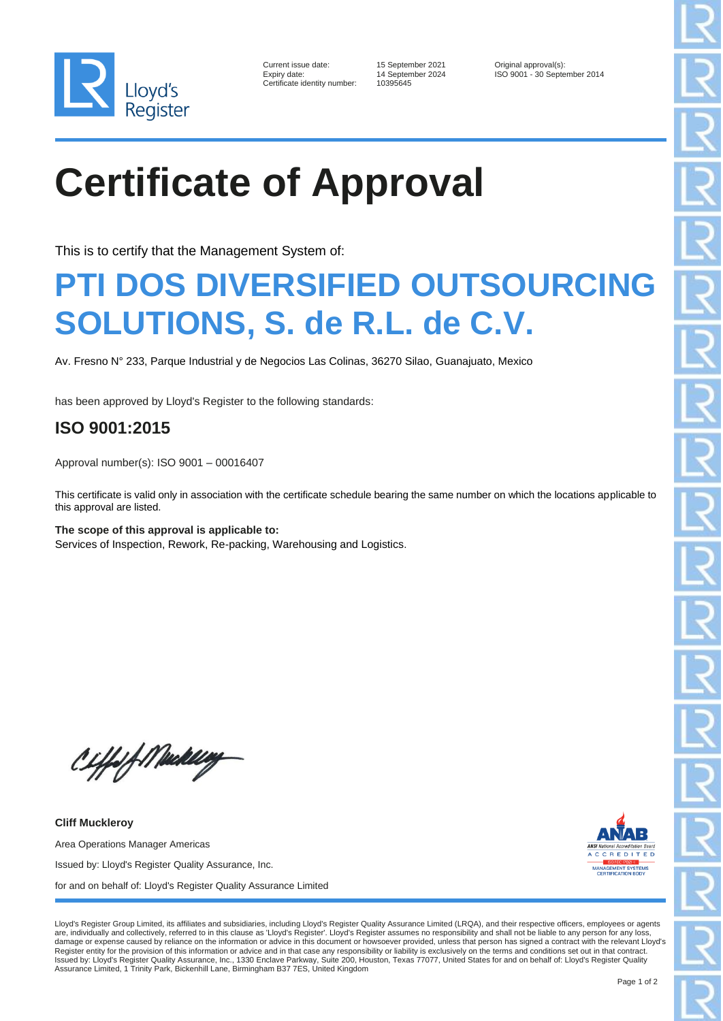

| Current issue date:        |
|----------------------------|
| Expiry date:               |
| Certificate identity numbe |

10395645

15 September 2021 **Current Current Conducts** 14 September 2024 **ISO 9001 - 30 September 2024** ISO 9001 - 30 September 2014

## **Certificate of Approval**

This is to certify that the Management System of:

## **PTI DOS DIVERSIFIED OUTSOURCING SOLUTIONS, S. de R.L. de C.V.**

Av. Fresno N° 233, Parque Industrial y de Negocios Las Colinas, 36270 Silao, Guanajuato, Mexico

has been approved by Lloyd's Register to the following standards:

## **ISO 9001:2015**

Approval number(s): ISO 9001 – 00016407

This certificate is valid only in association with the certificate schedule bearing the same number on which the locations applicable to this approval are listed.

**The scope of this approval is applicable to:** Services of Inspection, Rework, Re-packing, Warehousing and Logistics.

CHfolf Machally

**Cliff Muckleroy** Area Operations Manager Americas Issued by: Lloyd's Register Quality Assurance, Inc. for and on behalf of: Lloyd's Register Quality Assurance Limited



Lloyd's Register Group Limited, its affiliates and subsidiaries, including Lloyd's Register Quality Assurance Limited (LRQA), and their respective officers, employees or agents are, individually and collectively, referred to in this clause as 'Lloyd's Register'. Lloyd's Register assumes no responsibility and shall not be liable to any person for any loss, damage or expense caused by reliance on the information or advice in this document or howsoever provided, unless that person has signed a contract with the relevant Lloyd's Register entity for the provision of this information or advice and in that case any responsibility or liability is exclusively on the terms and conditions set out in that contract.<br>Issued by: Lloyd's Register Quality Assu Assurance Limited, 1 Trinity Park, Bickenhill Lane, Birmingham B37 7ES, United Kingdom